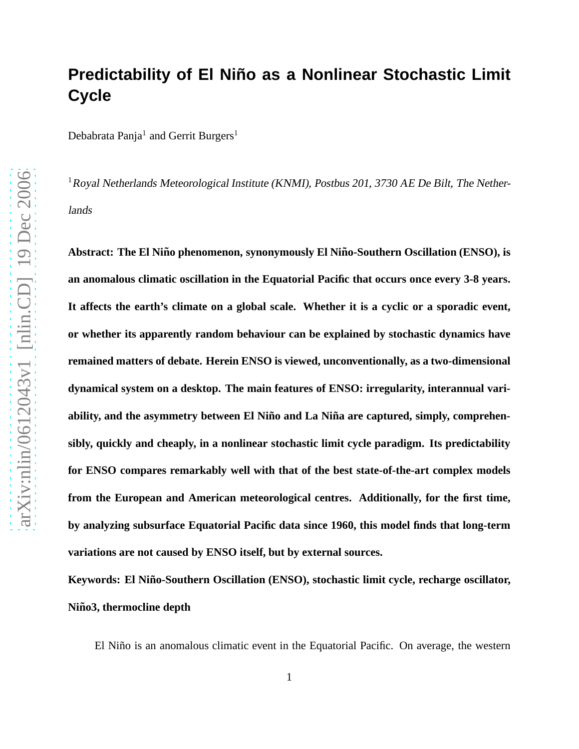# **Predictability of El Niño as a Nonlinear Stochastic Limit Cycle**

Debabrata Panja $^1$  and Gerrit Burgers $^1$ 

<sup>1</sup> Royal Netherlands Meteorological Institute (KNMI), Postbus 201, 3730 AE De Bilt, The Netherlands

Abstract: The El Niño phenomenon, synonymously El Niño-Southern Oscillation (ENSO), is **an anomalous climatic oscillation in the Equatorial Pacific that occurs once every 3-8 years. It affects the earth's climate on a global scale. Whether it is a cyclic or a sporadic event, or whether its apparently random behaviour can be explained by stochastic dynamics have remained matters of debate. Herein ENSO is viewed, unconventionally, as a two-dimensional dynamical system on a desktop. The main features of ENSO: irregularity, interannual vari**ability, and the asymmetry between El Niño and La Niña are captured, simply, comprehen**sibly, quickly and cheaply, in a nonlinear stochastic limit cycle paradigm. Its predictability for ENSO compares remarkably well with that of the best state-of-the-art complex models from the European and American meteorological centres. Additionally, for the first time, by analyzing subsurface Equatorial Pacific data since 1960, this model finds that long-term variations are not caused by ENSO itself, but by external sources.**

Keywords: El Niño-Southern Oscillation (ENSO), stochastic limit cycle, recharge oscillator,  $Ni\tilde{n}o3$ , thermocline depth

El Niño is an anomalous climatic event in the Equatorial Pacific. On average, the western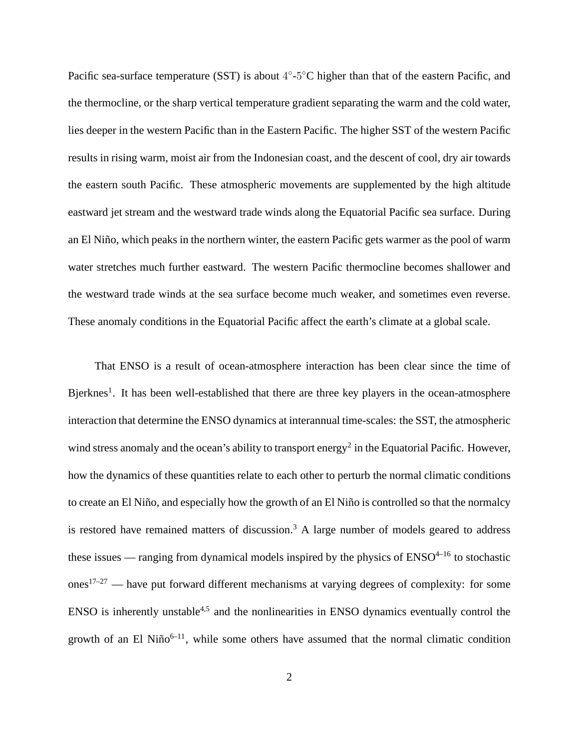Pacific sea-surface temperature (SST) is about  $4^{\circ}$ -5 $^{\circ}$ C higher than that of the eastern Pacific, and the thermocline, or the sharp vertical temperature gradient separating the warm and the cold water, lies deeper in the western Pacific than in the Eastern Pacific. The higher SST of the western Pacific results in rising warm, moist air from the Indonesian coast, and the descent of cool, dry air towards the eastern south Pacific. These atmospheric movements are supplemented by the high altitude eastward jet stream and the westward trade winds along the Equatorial Pacific sea surface. During an El Niño, which peaks in the northern winter, the eastern Pacific gets warmer as the pool of warm water stretches much further eastward. The western Pacific thermocline becomes shallower and the westward trade winds at the sea surface become much weaker, and sometimes even reverse. These anomaly conditions in the Equatorial Pacific affect the earth's climate at a global scale.

That ENSO is a result of ocean-atmosphere interaction has been clear since the time of Bjerknes<sup>1</sup>. It has been well-established that there are three key players in the ocean-atmosphere interaction that determine the ENSO dynamics at interannual time-scales: the SST, the atmospheric wind stress anomaly and the ocean's ability to transport energy<sup>2</sup> in the Equatorial Pacific. However, how the dynamics of these quantities relate to each other to perturb the normal climatic conditions to create an El Niño, and especially how the growth of an El Niño is controlled so that the normalcy is restored have remained matters of discussion.<sup>3</sup> A large number of models geared to address these issues — ranging from dynamical models inspired by the physics of  $ENSO<sup>4-16</sup>$  to stochastic ones<sup>17–27</sup> — have put forward different mechanisms at varying degrees of complexity: for some  $ENSO$  is inherently unstable<sup>4,5</sup> and the nonlinearities in ENSO dynamics eventually control the growth of an El Niño $6-11$ , while some others have assumed that the normal climatic condition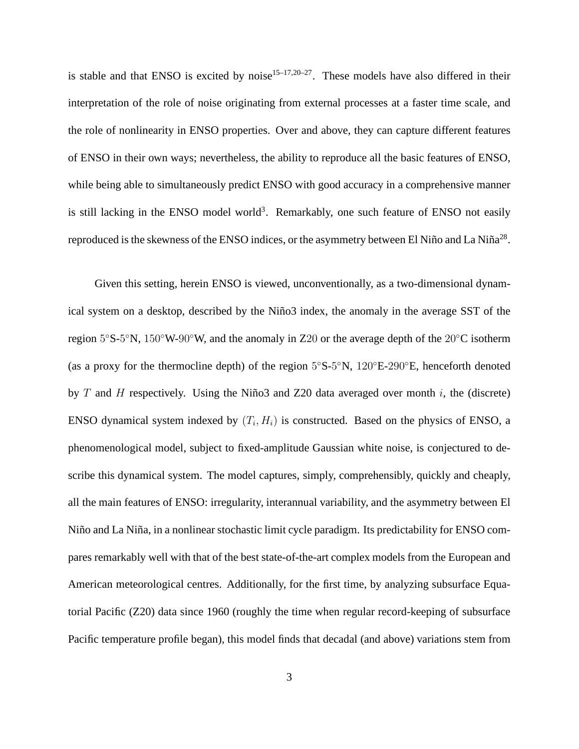is stable and that ENSO is excited by noise<sup>15–17,20–27</sup>. These models have also differed in their interpretation of the role of noise originating from external processes at a faster time scale, and the role of nonlinearity in ENSO properties. Over and above, they can capture different features of ENSO in their own ways; nevertheless, the ability to reproduce all the basic features of ENSO, while being able to simultaneously predict ENSO with good accuracy in a comprehensive manner is still lacking in the ENSO model world<sup>3</sup>. Remarkably, one such feature of ENSO not easily reproduced is the skewness of the ENSO indices, or the asymmetry between El Niño and La Niña<sup>28</sup>.

Given this setting, herein ENSO is viewed, unconventionally, as a two-dimensional dynamical system on a desktop, described by the Niño3 index, the anomaly in the average SST of the region  $5^{\circ}S$ -5°N,  $150^{\circ}W$ -90°W, and the anomaly in Z20 or the average depth of the 20°C isotherm (as a proxy for the thermocline depth) of the region  $5^{\circ}$ S- $5^{\circ}$ N,  $120^{\circ}$ E- $290^{\circ}$ E, henceforth denoted by T and H respectively. Using the Niño3 and Z20 data averaged over month i, the (discrete) ENSO dynamical system indexed by  $(T_i, H_i)$  is constructed. Based on the physics of ENSO, a phenomenological model, subject to fixed-amplitude Gaussian white noise, is conjectured to describe this dynamical system. The model captures, simply, comprehensibly, quickly and cheaply, all the main features of ENSO: irregularity, interannual variability, and the asymmetry between El Niño and La Niña, in a nonlinear stochastic limit cycle paradigm. Its predictability for ENSO compares remarkably well with that of the best state-of-the-art complex models from the European and American meteorological centres. Additionally, for the first time, by analyzing subsurface Equatorial Pacific (Z20) data since 1960 (roughly the time when regular record-keeping of subsurface Pacific temperature profile began), this model finds that decadal (and above) variations stem from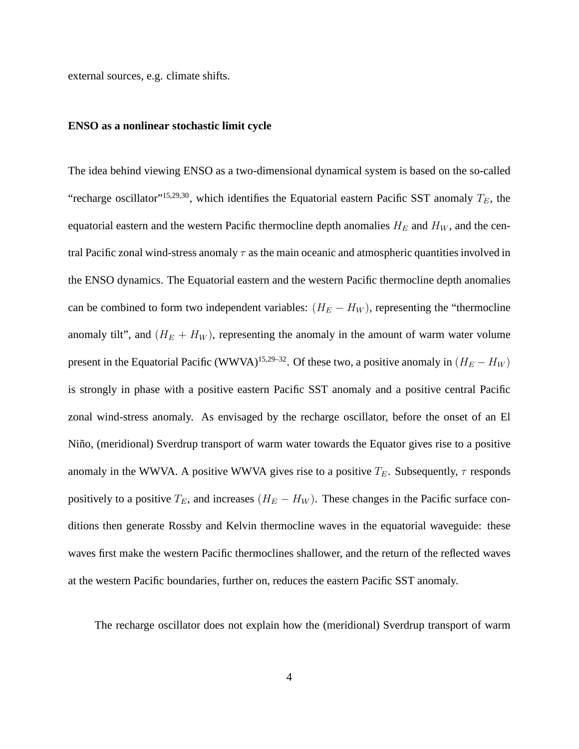external sources, e.g. climate shifts.

#### **ENSO as a nonlinear stochastic limit cycle**

The idea behind viewing ENSO as a two-dimensional dynamical system is based on the so-called "recharge oscillator"<sup>15,29,30</sup>, which identifies the Equatorial eastern Pacific SST anomaly  $T_E$ , the equatorial eastern and the western Pacific thermocline depth anomalies  $H_E$  and  $H_W$ , and the central Pacific zonal wind-stress anomaly  $\tau$  as the main oceanic and atmospheric quantities involved in the ENSO dynamics. The Equatorial eastern and the western Pacific thermocline depth anomalies can be combined to form two independent variables:  $(H_E - H_W)$ , representing the "thermocline" anomaly tilt", and  $(H_E + H_W)$ , representing the anomaly in the amount of warm water volume present in the Equatorial Pacific (WWVA)<sup>15,29–32</sup>. Of these two, a positive anomaly in  $(H_E - H_W)$ is strongly in phase with a positive eastern Pacific SST anomaly and a positive central Pacific zonal wind-stress anomaly. As envisaged by the recharge oscillator, before the onset of an El Niño, (meridional) Sverdrup transport of warm water towards the Equator gives rise to a positive anomaly in the WWVA. A positive WWVA gives rise to a positive  $T_E$ . Subsequently,  $\tau$  responds positively to a positive  $T_E$ , and increases  $(H_E - H_W)$ . These changes in the Pacific surface conditions then generate Rossby and Kelvin thermocline waves in the equatorial waveguide: these waves first make the western Pacific thermoclines shallower, and the return of the reflected waves at the western Pacific boundaries, further on, reduces the eastern Pacific SST anomaly.

The recharge oscillator does not explain how the (meridional) Sverdrup transport of warm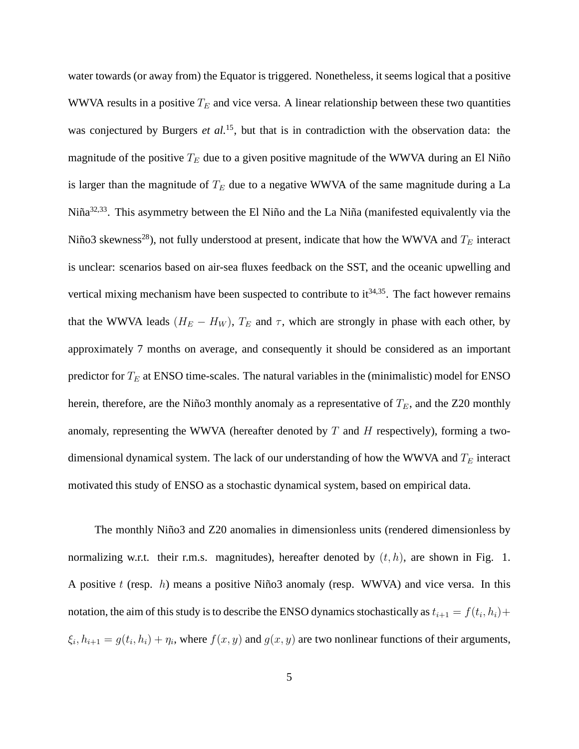water towards (or away from) the Equator is triggered. Nonetheless, it seems logical that a positive WWVA results in a positive  $T_E$  and vice versa. A linear relationship between these two quantities was conjectured by Burgers *et al.*<sup>15</sup>, but that is in contradiction with the observation data: the magnitude of the positive  $T_E$  due to a given positive magnitude of the WWVA during an El Niño is larger than the magnitude of  $T_E$  due to a negative WWVA of the same magnitude during a La Niña<sup>32,33</sup>. This asymmetry between the El Niño and the La Niña (manifested equivalently via the Niño3 skewness<sup>28</sup>), not fully understood at present, indicate that how the WWVA and  $T_E$  interact is unclear: scenarios based on air-sea fluxes feedback on the SST, and the oceanic upwelling and vertical mixing mechanism have been suspected to contribute to  $it^{34,35}$ . The fact however remains that the WWVA leads  $(H_E - H_W)$ ,  $T_E$  and  $\tau$ , which are strongly in phase with each other, by approximately 7 months on average, and consequently it should be considered as an important predictor for  $T_E$  at ENSO time-scales. The natural variables in the (minimalistic) model for ENSO herein, therefore, are the Niño3 monthly anomaly as a representative of  $T_E$ , and the Z20 monthly anomaly, representing the WWVA (hereafter denoted by  $T$  and  $H$  respectively), forming a twodimensional dynamical system. The lack of our understanding of how the WWVA and  $T_E$  interact motivated this study of ENSO as a stochastic dynamical system, based on empirical data.

The monthly Niño3 and Z20 anomalies in dimensionless units (rendered dimensionless by normalizing w.r.t. their r.m.s. magnitudes), hereafter denoted by  $(t, h)$ , are shown in Fig. 1. A positive t (resp.  $h$ ) means a positive Niño3 anomaly (resp. WWVA) and vice versa. In this notation, the aim of this study is to describe the ENSO dynamics stochastically as  $t_{i+1} = f(t_i, h_i) +$  $\xi_i$ ,  $h_{i+1} = g(t_i, h_i) + \eta_i$ , where  $f(x, y)$  and  $g(x, y)$  are two nonlinear functions of their arguments,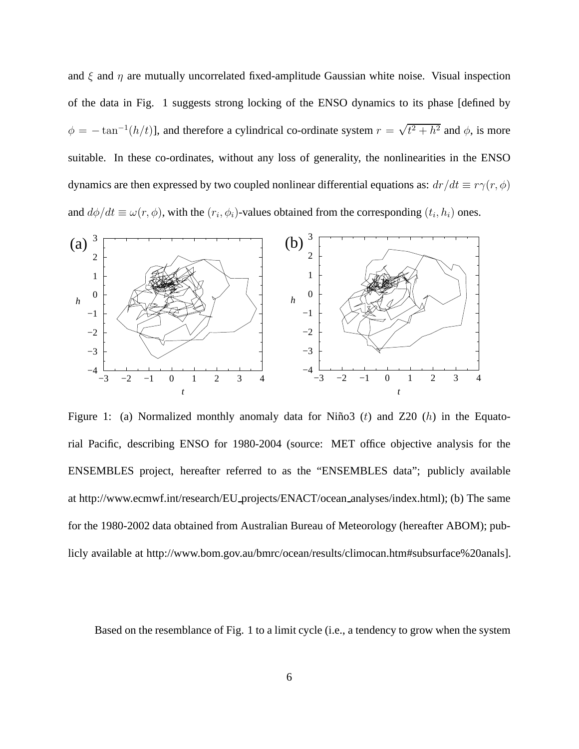and  $\xi$  and  $\eta$  are mutually uncorrelated fixed-amplitude Gaussian white noise. Visual inspection of the data in Fig. 1 suggests strong locking of the ENSO dynamics to its phase [defined by  $\phi = -\tan^{-1}(h/t)$ , and therefore a cylindrical co-ordinate system  $r = \sqrt{t^2 + h^2}$  and  $\phi$ , is more suitable. In these co-ordinates, without any loss of generality, the nonlinearities in the ENSO dynamics are then expressed by two coupled nonlinear differential equations as:  $dr/dt \equiv r\gamma(r, \phi)$ and  $d\phi/dt \equiv \omega(r,\phi)$ , with the  $(r_i,\phi_i)$ -values obtained from the corresponding  $(t_i,h_i)$  ones.



Figure 1: (a) Normalized monthly anomaly data for Niño3 (t) and  $Z20$  (h) in the Equatorial Pacific, describing ENSO for 1980-2004 (source: MET office objective analysis for the ENSEMBLES project, hereafter referred to as the "ENSEMBLES data"; publicly available at http://www.ecmwf.int/research/EU projects/ENACT/ocean analyses/index.html); (b) The same for the 1980-2002 data obtained from Australian Bureau of Meteorology (hereafter ABOM); publicly available at http://www.bom.gov.au/bmrc/ocean/results/climocan.htm#subsurface%20anals].

Based on the resemblance of Fig. 1 to a limit cycle (i.e., a tendency to grow when the system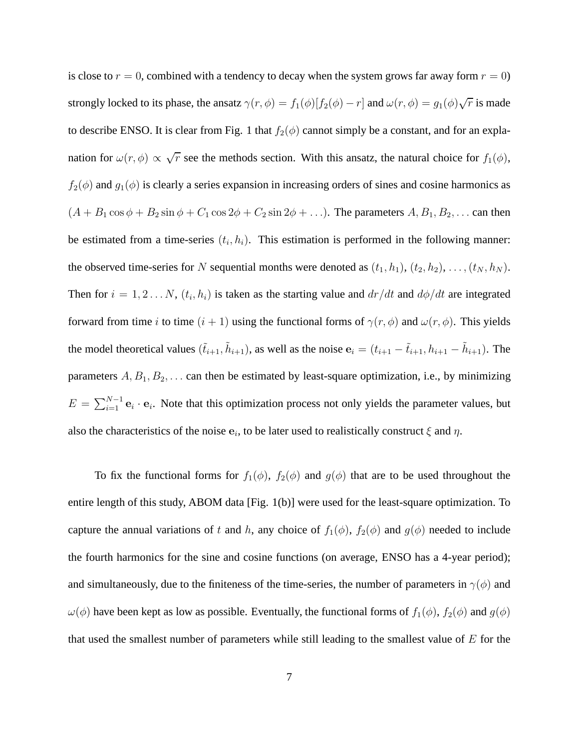is close to  $r = 0$ , combined with a tendency to decay when the system grows far away form  $r = 0$ ) strongly locked to its phase, the ansatz  $\gamma(r,\phi) = f_1(\phi)[f_2(\phi) - r]$  and  $\omega(r,\phi) = g_1(\phi)\sqrt{r}$  is made to describe ENSO. It is clear from Fig. 1 that  $f_2(\phi)$  cannot simply be a constant, and for an explanation for  $\omega(r,\phi) \propto \sqrt{r}$  see the methods section. With this ansatz, the natural choice for  $f_1(\phi)$ ,  $f_2(\phi)$  and  $g_1(\phi)$  is clearly a series expansion in increasing orders of sines and cosine harmonics as  $(A + B_1 \cos \phi + B_2 \sin \phi + C_1 \cos 2\phi + C_2 \sin 2\phi + \ldots)$ . The parameters  $A, B_1, B_2, \ldots$  can then be estimated from a time-series  $(t_i, h_i)$ . This estimation is performed in the following manner: the observed time-series for N sequential months were denoted as  $(t_1, h_1)$ ,  $(t_2, h_2)$ , ...,  $(t_N, h_N)$ . Then for  $i = 1, 2...N$ ,  $(t_i, h_i)$  is taken as the starting value and  $dr/dt$  and  $d\phi/dt$  are integrated forward from time i to time  $(i + 1)$  using the functional forms of  $\gamma(r, \phi)$  and  $\omega(r, \phi)$ . This yields the model theoretical values  $(\tilde{t}_{i+1}, \tilde{h}_{i+1})$ , as well as the noise  $e_i = (t_{i+1} - \tilde{t}_{i+1}, h_{i+1} - \tilde{h}_{i+1})$ . The parameters  $A, B_1, B_2, \ldots$  can then be estimated by least-square optimization, i.e., by minimizing  $E = \sum_{i=1}^{N-1} \mathbf{e}_i \cdot \mathbf{e}_i$ . Note that this optimization process not only yields the parameter values, but also the characteristics of the noise  $e_i$ , to be later used to realistically construct  $\xi$  and  $\eta$ .

To fix the functional forms for  $f_1(\phi)$ ,  $f_2(\phi)$  and  $g(\phi)$  that are to be used throughout the entire length of this study, ABOM data [Fig. 1(b)] were used for the least-square optimization. To capture the annual variations of t and h, any choice of  $f_1(\phi)$ ,  $f_2(\phi)$  and  $g(\phi)$  needed to include the fourth harmonics for the sine and cosine functions (on average, ENSO has a 4-year period); and simultaneously, due to the finiteness of the time-series, the number of parameters in  $\gamma(\phi)$  and  $\omega(\phi)$  have been kept as low as possible. Eventually, the functional forms of  $f_1(\phi)$ ,  $f_2(\phi)$  and  $g(\phi)$ that used the smallest number of parameters while still leading to the smallest value of  $E$  for the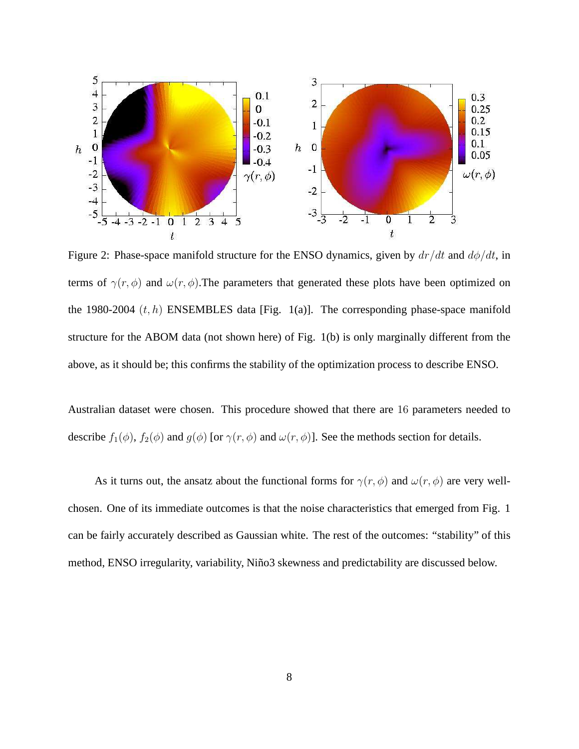

Figure 2: Phase-space manifold structure for the ENSO dynamics, given by  $dr/dt$  and  $d\phi/dt$ , in terms of  $\gamma(r, \phi)$  and  $\omega(r, \phi)$ . The parameters that generated these plots have been optimized on the 1980-2004  $(t, h)$  ENSEMBLES data [Fig. 1(a)]. The corresponding phase-space manifold structure for the ABOM data (not shown here) of Fig. 1(b) is only marginally different from the above, as it should be; this confirms the stability of the optimization process to describe ENSO.

Australian dataset were chosen. This procedure showed that there are 16 parameters needed to describe  $f_1(\phi)$ ,  $f_2(\phi)$  and  $g(\phi)$  [or  $\gamma(r, \phi)$  and  $\omega(r, \phi)$ ]. See the methods section for details.

As it turns out, the ansatz about the functional forms for  $\gamma(r, \phi)$  and  $\omega(r, \phi)$  are very wellchosen. One of its immediate outcomes is that the noise characteristics that emerged from Fig. 1 can be fairly accurately described as Gaussian white. The rest of the outcomes: "stability" of this method, ENSO irregularity, variability, Niño3 skewness and predictability are discussed below.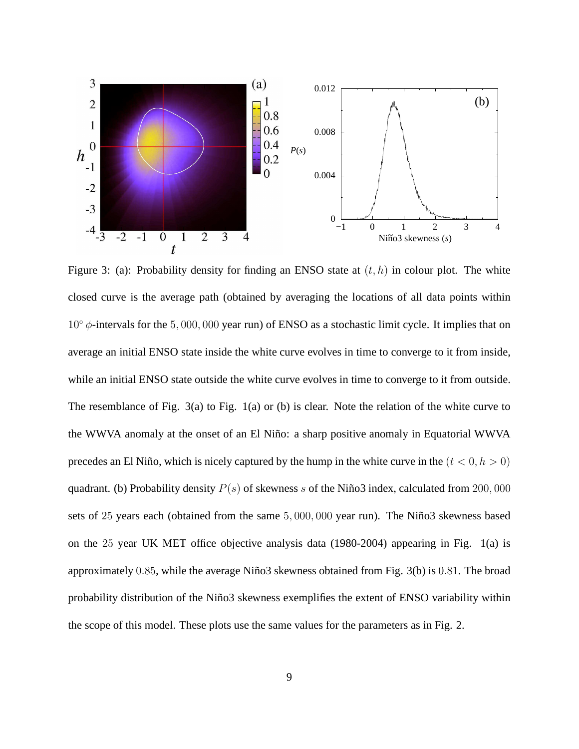

Figure 3: (a): Probability density for finding an ENSO state at  $(t, h)$  in colour plot. The white closed curve is the average path (obtained by averaging the locations of all data points within  $10° \phi$ -intervals for the 5,000,000 year run) of ENSO as a stochastic limit cycle. It implies that on average an initial ENSO state inside the white curve evolves in time to converge to it from inside, while an initial ENSO state outside the white curve evolves in time to converge to it from outside. The resemblance of Fig. 3(a) to Fig. 1(a) or (b) is clear. Note the relation of the white curve to the WWVA anomaly at the onset of an El Niño: a sharp positive anomaly in Equatorial WWVA precedes an El Niño, which is nicely captured by the hump in the white curve in the  $(t < 0, h > 0)$ quadrant. (b) Probability density  $P(s)$  of skewness s of the Niño3 index, calculated from 200, 000 sets of 25 years each (obtained from the same 5,000,000 year run). The Niño3 skewness based on the 25 year UK MET office objective analysis data (1980-2004) appearing in Fig. 1(a) is approximately  $0.85$ , while the average Niño3 skewness obtained from Fig. 3(b) is  $0.81$ . The broad probability distribution of the Niño3 skewness exemplifies the extent of ENSO variability within the scope of this model. These plots use the same values for the parameters as in Fig. 2.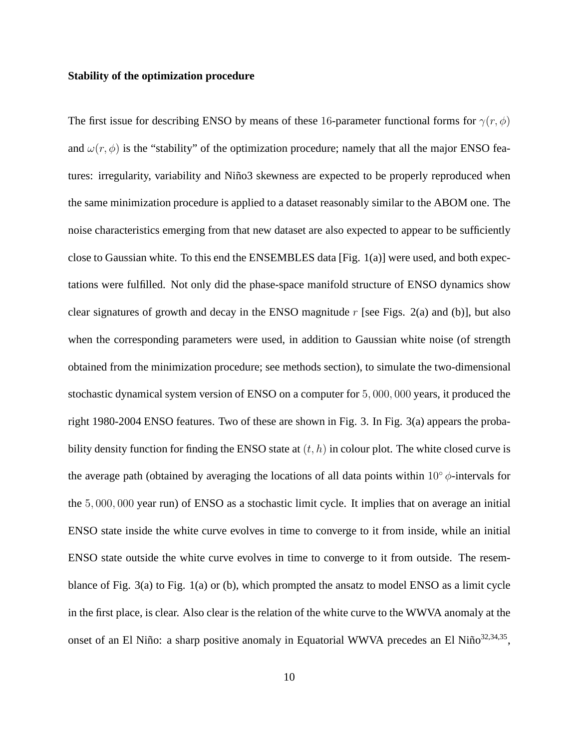#### **Stability of the optimization procedure**

The first issue for describing ENSO by means of these 16-parameter functional forms for  $\gamma(r, \phi)$ and  $\omega(r, \phi)$  is the "stability" of the optimization procedure; namely that all the major ENSO features: irregularity, variability and Niño3 skewness are expected to be properly reproduced when the same minimization procedure is applied to a dataset reasonably similar to the ABOM one. The noise characteristics emerging from that new dataset are also expected to appear to be sufficiently close to Gaussian white. To this end the ENSEMBLES data [Fig. 1(a)] were used, and both expectations were fulfilled. Not only did the phase-space manifold structure of ENSO dynamics show clear signatures of growth and decay in the ENSO magnitude  $r$  [see Figs. 2(a) and (b)], but also when the corresponding parameters were used, in addition to Gaussian white noise (of strength obtained from the minimization procedure; see methods section), to simulate the two-dimensional stochastic dynamical system version of ENSO on a computer for 5, 000, 000 years, it produced the right 1980-2004 ENSO features. Two of these are shown in Fig. 3. In Fig. 3(a) appears the probability density function for finding the ENSO state at  $(t, h)$  in colour plot. The white closed curve is the average path (obtained by averaging the locations of all data points within 10°  $\phi$ -intervals for the 5, 000, 000 year run) of ENSO as a stochastic limit cycle. It implies that on average an initial ENSO state inside the white curve evolves in time to converge to it from inside, while an initial ENSO state outside the white curve evolves in time to converge to it from outside. The resemblance of Fig. 3(a) to Fig. 1(a) or (b), which prompted the ansatz to model ENSO as a limit cycle in the first place, is clear. Also clear is the relation of the white curve to the WWVA anomaly at the onset of an El Niño: a sharp positive anomaly in Equatorial WWVA precedes an El Niño<sup>32,34,35</sup>,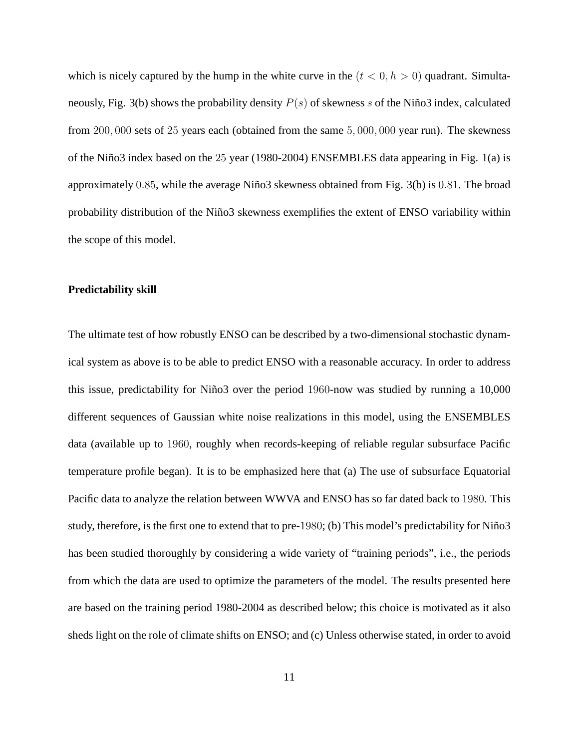which is nicely captured by the hump in the white curve in the  $(t < 0, h > 0)$  quadrant. Simultaneously, Fig. 3(b) shows the probability density  $P(s)$  of skewness s of the Niño3 index, calculated from 200, 000 sets of 25 years each (obtained from the same 5, 000, 000 year run). The skewness of the Niño3 index based on the  $25$  year (1980-2004) ENSEMBLES data appearing in Fig. 1(a) is approximately  $0.85$ , while the average Niño3 skewness obtained from Fig. 3(b) is  $0.81$ . The broad probability distribution of the Niño3 skewness exemplifies the extent of ENSO variability within the scope of this model.

#### **Predictability skill**

The ultimate test of how robustly ENSO can be described by a two-dimensional stochastic dynamical system as above is to be able to predict ENSO with a reasonable accuracy. In order to address this issue, predictability for Niño3 over the period 1960-now was studied by running a 10,000 different sequences of Gaussian white noise realizations in this model, using the ENSEMBLES data (available up to 1960, roughly when records-keeping of reliable regular subsurface Pacific temperature profile began). It is to be emphasized here that (a) The use of subsurface Equatorial Pacific data to analyze the relation between WWVA and ENSO has so far dated back to 1980. This study, therefore, is the first one to extend that to pre-1980; (b) This model's predictability for Niño3 has been studied thoroughly by considering a wide variety of "training periods", i.e., the periods from which the data are used to optimize the parameters of the model. The results presented here are based on the training period 1980-2004 as described below; this choice is motivated as it also sheds light on the role of climate shifts on ENSO; and (c) Unless otherwise stated, in order to avoid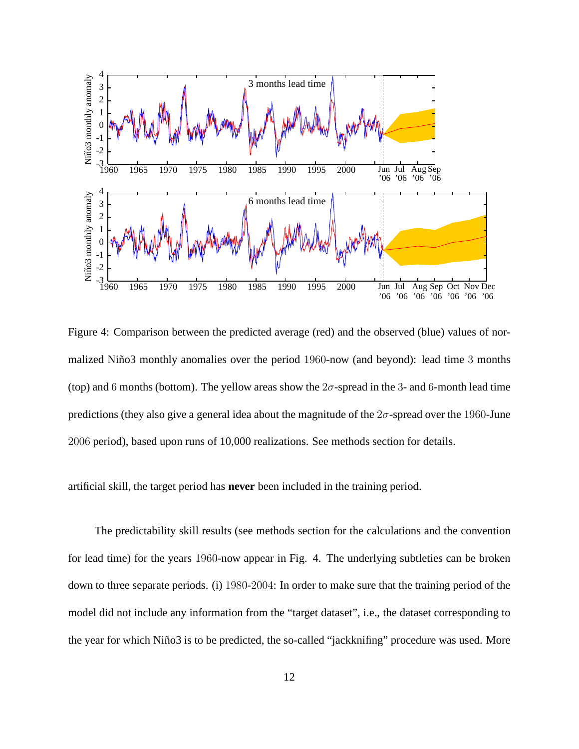

Figure 4: Comparison between the predicted average (red) and the observed (blue) values of normalized Niño3 monthly anomalies over the period 1960-now (and beyond): lead time 3 months (top) and 6 months (bottom). The yellow areas show the  $2\sigma$ -spread in the 3- and 6-month lead time predictions (they also give a general idea about the magnitude of the  $2\sigma$ -spread over the 1960-June 2006 period), based upon runs of 10,000 realizations. See methods section for details.

artificial skill, the target period has **never** been included in the training period.

The predictability skill results (see methods section for the calculations and the convention for lead time) for the years 1960-now appear in Fig. 4. The underlying subtleties can be broken down to three separate periods. (i) 1980-2004: In order to make sure that the training period of the model did not include any information from the "target dataset", i.e., the dataset corresponding to the year for which Niño3 is to be predicted, the so-called "jackknifing" procedure was used. More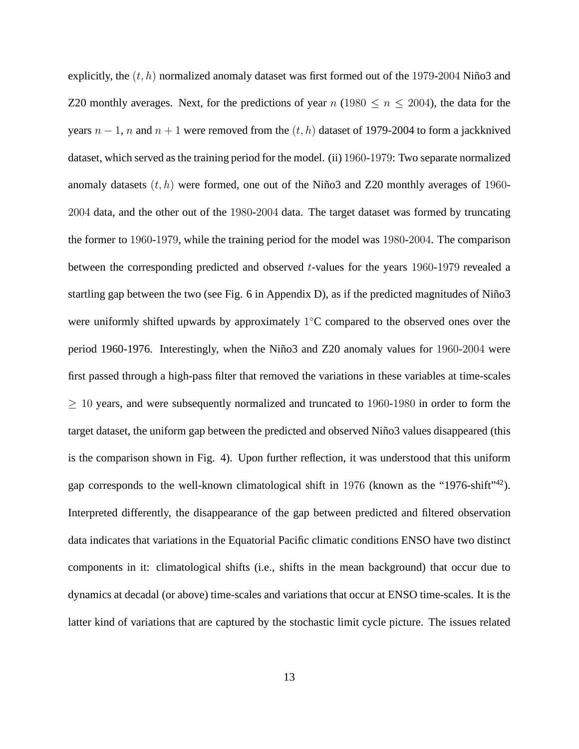explicitly, the  $(t, h)$  normalized anomaly dataset was first formed out of the 1979-2004 Niño3 and Z20 monthly averages. Next, for the predictions of year  $n$  (1980  $\leq n \leq 2004$ ), the data for the years  $n-1$ , n and  $n+1$  were removed from the  $(t, h)$  dataset of 1979-2004 to form a jackknived dataset, which served as the training period for the model. (ii) 1960-1979: Two separate normalized anomaly datasets  $(t, h)$  were formed, one out of the Niño3 and Z20 monthly averages of 1960-2004 data, and the other out of the 1980-2004 data. The target dataset was formed by truncating the former to 1960-1979, while the training period for the model was 1980-2004. The comparison between the corresponding predicted and observed t-values for the years 1960-1979 revealed a startling gap between the two (see Fig. 6 in Appendix D), as if the predicted magnitudes of Niño3 were uniformly shifted upwards by approximately  $1^{\circ}$ C compared to the observed ones over the period 1960-1976. Interestingly, when the Niño3 and Z20 anomaly values for 1960-2004 were first passed through a high-pass filter that removed the variations in these variables at time-scales  $\geq$  10 years, and were subsequently normalized and truncated to 1960-1980 in order to form the target dataset, the uniform gap between the predicted and observed Niño3 values disappeared (this is the comparison shown in Fig. 4). Upon further reflection, it was understood that this uniform gap corresponds to the well-known climatological shift in 1976 (known as the "1976-shift"<sup>42</sup>). Interpreted differently, the disappearance of the gap between predicted and filtered observation data indicates that variations in the Equatorial Pacific climatic conditions ENSO have two distinct components in it: climatological shifts (i.e., shifts in the mean background) that occur due to dynamics at decadal (or above) time-scales and variations that occur at ENSO time-scales. It is the latter kind of variations that are captured by the stochastic limit cycle picture. The issues related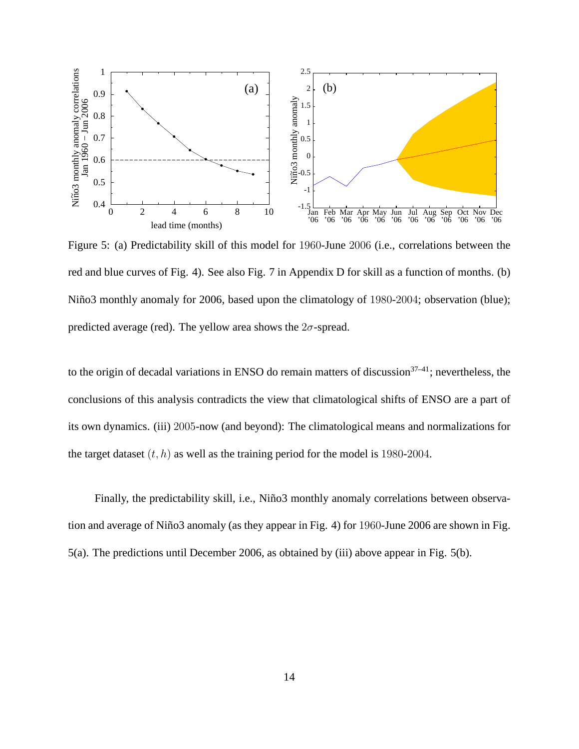

Figure 5: (a) Predictability skill of this model for 1960-June 2006 (i.e., correlations between the red and blue curves of Fig. 4). See also Fig. 7 in Appendix D for skill as a function of months. (b) Niño3 monthly anomaly for 2006, based upon the climatology of 1980-2004; observation (blue); predicted average (red). The yellow area shows the  $2\sigma$ -spread.

to the origin of decadal variations in ENSO do remain matters of discussion $37-41$ ; nevertheless, the conclusions of this analysis contradicts the view that climatological shifts of ENSO are a part of its own dynamics. (iii) 2005-now (and beyond): The climatological means and normalizations for the target dataset  $(t, h)$  as well as the training period for the model is 1980-2004.

Finally, the predictability skill, i.e., Niño3 monthly anomaly correlations between observation and average of Niño3 anomaly (as they appear in Fig. 4) for 1960-June 2006 are shown in Fig. 5(a). The predictions until December 2006, as obtained by (iii) above appear in Fig. 5(b).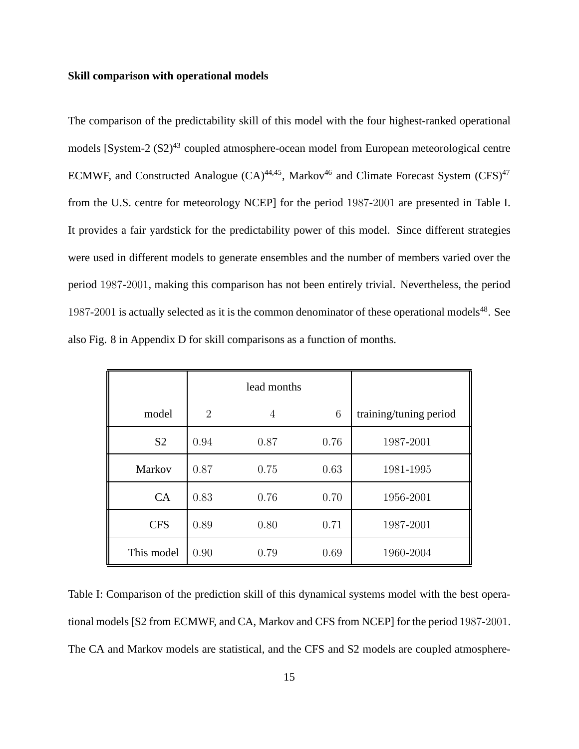#### **Skill comparison with operational models**

The comparison of the predictability skill of this model with the four highest-ranked operational models [System-2 (S2)<sup>43</sup> coupled atmosphere-ocean model from European meteorological centre ECMWF, and Constructed Analogue  $(CA)^{44,45}$ , Markov<sup>46</sup> and Climate Forecast System  $(CFS)^{47}$ from the U.S. centre for meteorology NCEP] for the period 1987-2001 are presented in Table I. It provides a fair yardstick for the predictability power of this model. Since different strategies were used in different models to generate ensembles and the number of members varied over the period 1987-2001, making this comparison has not been entirely trivial. Nevertheless, the period 1987-2001 is actually selected as it is the common denominator of these operational models<sup>48</sup>. See also Fig. 8 in Appendix D for skill comparisons as a function of months.

|                |                | lead months |      |                        |
|----------------|----------------|-------------|------|------------------------|
| model          | $\overline{2}$ | 4           | 6    | training/tuning period |
| S <sub>2</sub> | 0.94           | 0.87        | 0.76 | 1987-2001              |
| Markov         | 0.87           | 0.75        | 0.63 | 1981-1995              |
| CA             | 0.83           | 0.76        | 0.70 | 1956-2001              |
| <b>CFS</b>     | 0.89           | 0.80        | 0.71 | 1987-2001              |
| This model     | 0.90           | 0.79        | 0.69 | 1960-2004              |

Table I: Comparison of the prediction skill of this dynamical systems model with the best operational models [S2 from ECMWF, and CA, Markov and CFS from NCEP] for the period 1987-2001. The CA and Markov models are statistical, and the CFS and S2 models are coupled atmosphere-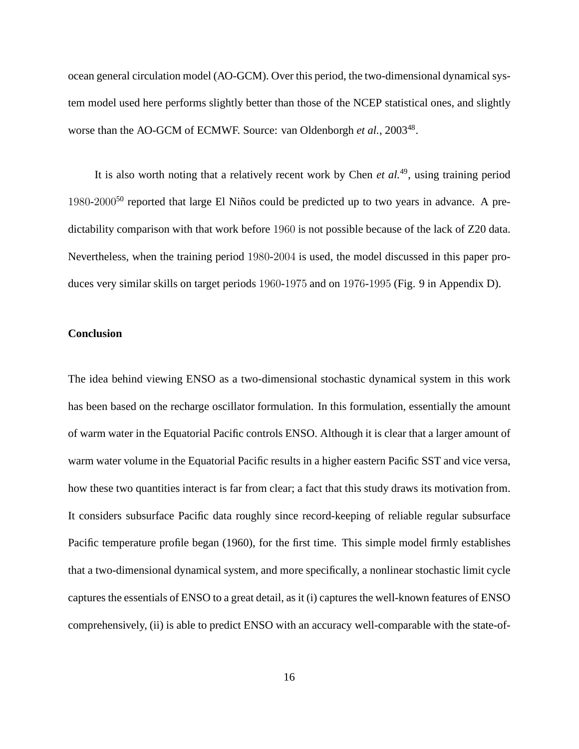ocean general circulation model (AO-GCM). Over this period, the two-dimensional dynamical system model used here performs slightly better than those of the NCEP statistical ones, and slightly worse than the AO-GCM of ECMWF. Source: van Oldenborgh et al., 2003<sup>48</sup>.

It is also worth noting that a relatively recent work by Chen *et al.*<sup>49</sup>, using training period  $1980-2000^{50}$  reported that large El Niños could be predicted up to two years in advance. A predictability comparison with that work before 1960 is not possible because of the lack of Z20 data. Nevertheless, when the training period 1980-2004 is used, the model discussed in this paper produces very similar skills on target periods 1960-1975 and on 1976-1995 (Fig. 9 in Appendix D).

# **Conclusion**

The idea behind viewing ENSO as a two-dimensional stochastic dynamical system in this work has been based on the recharge oscillator formulation. In this formulation, essentially the amount of warm water in the Equatorial Pacific controls ENSO. Although it is clear that a larger amount of warm water volume in the Equatorial Pacific results in a higher eastern Pacific SST and vice versa, how these two quantities interact is far from clear; a fact that this study draws its motivation from. It considers subsurface Pacific data roughly since record-keeping of reliable regular subsurface Pacific temperature profile began (1960), for the first time. This simple model firmly establishes that a two-dimensional dynamical system, and more specifically, a nonlinear stochastic limit cycle captures the essentials of ENSO to a great detail, as it (i) captures the well-known features of ENSO comprehensively, (ii) is able to predict ENSO with an accuracy well-comparable with the state-of-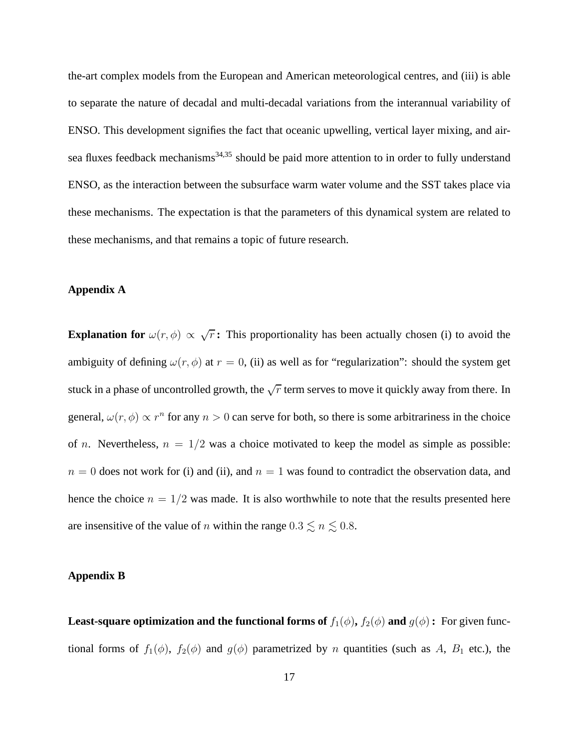the-art complex models from the European and American meteorological centres, and (iii) is able to separate the nature of decadal and multi-decadal variations from the interannual variability of ENSO. This development signifies the fact that oceanic upwelling, vertical layer mixing, and airsea fluxes feedback mechanisms<sup>34,35</sup> should be paid more attention to in order to fully understand ENSO, as the interaction between the subsurface warm water volume and the SST takes place via these mechanisms. The expectation is that the parameters of this dynamical system are related to these mechanisms, and that remains a topic of future research.

## **Appendix A**

**Explanation for**  $\omega(r,\phi) \propto \sqrt{r}$ : This proportionality has been actually chosen (i) to avoid the ambiguity of defining  $\omega(r, \phi)$  at  $r = 0$ , (ii) as well as for "regularization": should the system get stuck in a phase of uncontrolled growth, the  $\sqrt{r}$  term serves to move it quickly away from there. In general,  $\omega(r, \phi) \propto r^n$  for any  $n > 0$  can serve for both, so there is some arbitrariness in the choice of *n*. Nevertheless,  $n = 1/2$  was a choice motivated to keep the model as simple as possible:  $n = 0$  does not work for (i) and (ii), and  $n = 1$  was found to contradict the observation data, and hence the choice  $n = 1/2$  was made. It is also worthwhile to note that the results presented here are insensitive of the value of n within the range  $0.3 \lesssim n \lesssim 0.8$ .

### **Appendix B**

**Least-square optimization and the functional forms of**  $f_1(\phi)$ **,**  $f_2(\phi)$  **and**  $g(\phi)$ **: For given func**tional forms of  $f_1(\phi)$ ,  $f_2(\phi)$  and  $g(\phi)$  parametrized by n quantities (such as A, B<sub>1</sub> etc.), the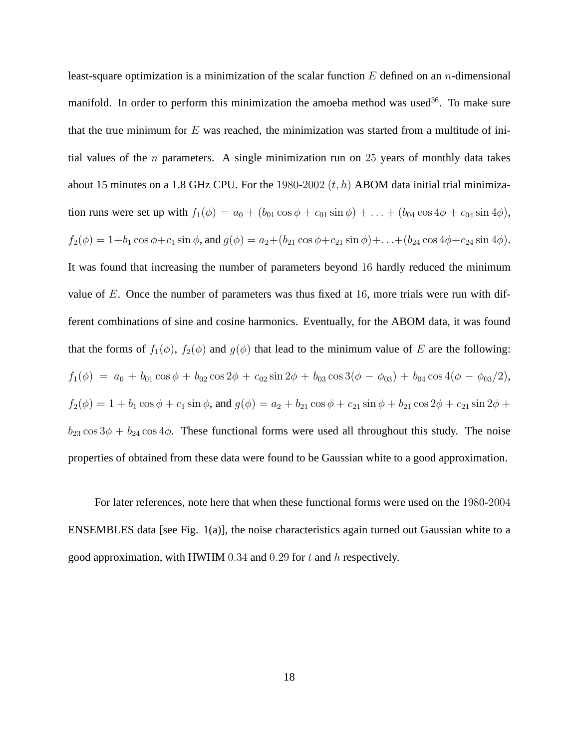least-square optimization is a minimization of the scalar function  $E$  defined on an *n*-dimensional manifold. In order to perform this minimization the amoeba method was used<sup>36</sup>. To make sure that the true minimum for  $E$  was reached, the minimization was started from a multitude of initial values of the *n* parameters. A single minimization run on 25 years of monthly data takes about 15 minutes on a 1.8 GHz CPU. For the 1980-2002  $(t, h)$  ABOM data initial trial minimization runs were set up with  $f_1(\phi) = a_0 + (b_{01} \cos \phi + c_{01} \sin \phi) + \ldots + (b_{04} \cos 4\phi + c_{04} \sin 4\phi)$ ,  $f_2(\phi) = 1+b_1 \cos \phi + c_1 \sin \phi$ , and  $g(\phi) = a_2+(b_{21} \cos \phi + c_{21} \sin \phi) + \ldots + (b_{24} \cos 4\phi + c_{24} \sin 4\phi)$ . It was found that increasing the number of parameters beyond 16 hardly reduced the minimum value of  $E$ . Once the number of parameters was thus fixed at 16, more trials were run with different combinations of sine and cosine harmonics. Eventually, for the ABOM data, it was found that the forms of  $f_1(\phi)$ ,  $f_2(\phi)$  and  $g(\phi)$  that lead to the minimum value of E are the following:  $f_1(\phi) = a_0 + b_{01} \cos \phi + b_{02} \cos 2\phi + c_{02} \sin 2\phi + b_{03} \cos 3(\phi - \phi_{03}) + b_{04} \cos 4(\phi - \phi_{03}/2),$  $f_2(\phi) = 1 + b_1 \cos \phi + c_1 \sin \phi$ , and  $g(\phi) = a_2 + b_{21} \cos \phi + c_{21} \sin \phi + b_{21} \cos 2\phi + c_{21} \sin 2\phi + c_{21} \sin 2\phi$  $b_{23} \cos 3\phi + b_{24} \cos 4\phi$ . These functional forms were used all throughout this study. The noise properties of obtained from these data were found to be Gaussian white to a good approximation.

For later references, note here that when these functional forms were used on the 1980-2004 ENSEMBLES data [see Fig. 1(a)], the noise characteristics again turned out Gaussian white to a good approximation, with HWHM  $0.34$  and  $0.29$  for t and h respectively.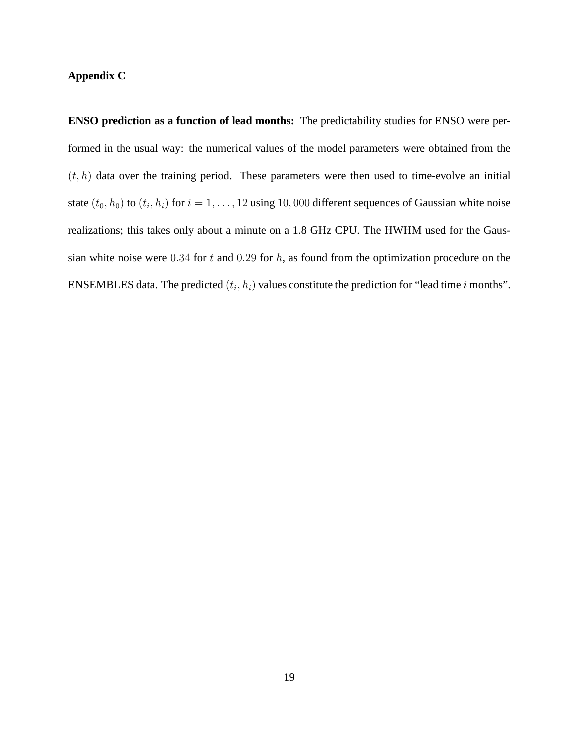# **Appendix C**

**ENSO prediction as a function of lead months:** The predictability studies for ENSO were performed in the usual way: the numerical values of the model parameters were obtained from the  $(t, h)$  data over the training period. These parameters were then used to time-evolve an initial state  $(t_0, h_0)$  to  $(t_i, h_i)$  for  $i = 1, \ldots, 12$  using 10,000 different sequences of Gaussian white noise realizations; this takes only about a minute on a 1.8 GHz CPU. The HWHM used for the Gaussian white noise were 0.34 for t and 0.29 for  $h$ , as found from the optimization procedure on the ENSEMBLES data. The predicted  $(t_i, h_i)$  values constitute the prediction for "lead time i months".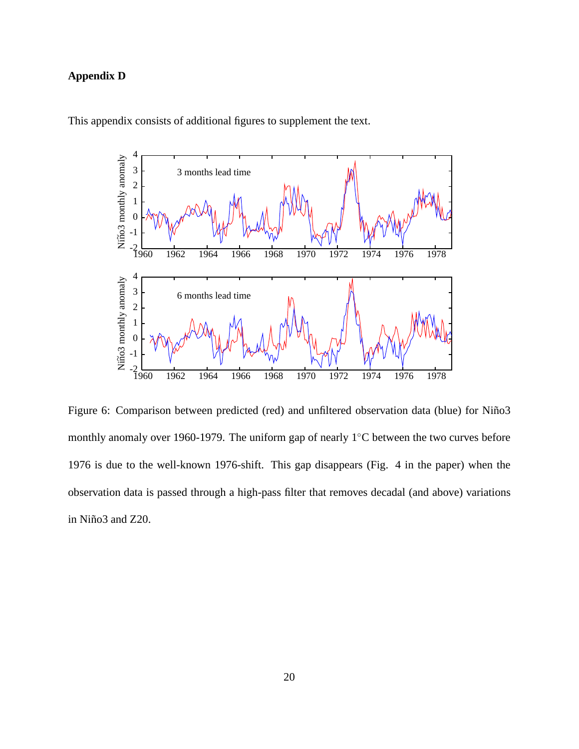# **Appendix D**



This appendix consists of additional figures to supplement the text.

Figure 6: Comparison between predicted (red) and unfiltered observation data (blue) for Niño3 monthly anomaly over 1960-1979. The uniform gap of nearly 1◦C between the two curves before 1976 is due to the well-known 1976-shift. This gap disappears (Fig. 4 in the paper) when the observation data is passed through a high-pass filter that removes decadal (and above) variations in Niño3 and Z20.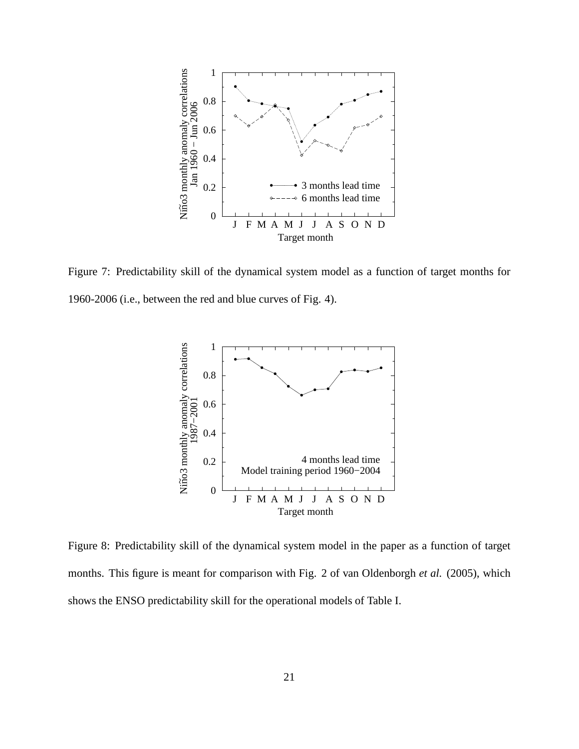

Figure 7: Predictability skill of the dynamical system model as a function of target months for 1960-2006 (i.e., between the red and blue curves of Fig. 4).



Figure 8: Predictability skill of the dynamical system model in the paper as a function of target months. This figure is meant for comparison with Fig. 2 of van Oldenborgh *et al.* (2005), which shows the ENSO predictability skill for the operational models of Table I.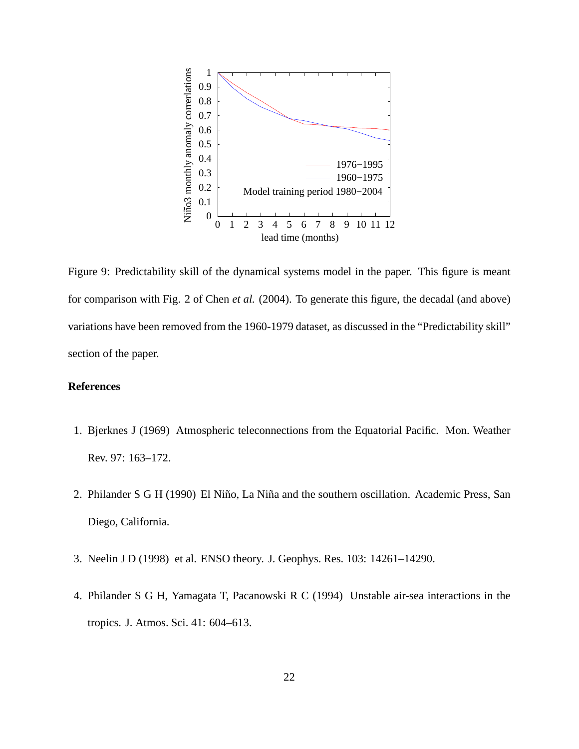

Figure 9: Predictability skill of the dynamical systems model in the paper. This figure is meant for comparison with Fig. 2 of Chen *et al.* (2004). To generate this figure, the decadal (and above) variations have been removed from the 1960-1979 dataset, as discussed in the "Predictability skill" section of the paper.

# **References**

- 1. Bjerknes J (1969) Atmospheric teleconnections from the Equatorial Pacific. Mon. Weather Rev. 97: 163–172.
- 2. Philander S G H (1990) El Niño, La Niña and the southern oscillation. Academic Press, San Diego, California.
- 3. Neelin J D (1998) et al. ENSO theory. J. Geophys. Res. 103: 14261–14290.
- 4. Philander S G H, Yamagata T, Pacanowski R C (1994) Unstable air-sea interactions in the tropics. J. Atmos. Sci. 41: 604–613.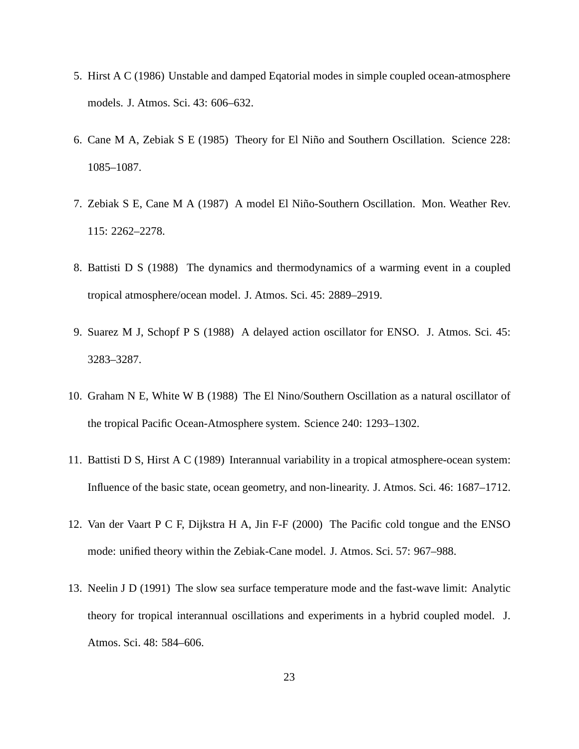- 5. Hirst A C (1986) Unstable and damped Eqatorial modes in simple coupled ocean-atmosphere models. J. Atmos. Sci. 43: 606–632.
- 6. Cane M A, Zebiak S E (1985) Theory for El Niño and Southern Oscillation. Science 228: 1085–1087.
- 7. Zebiak S E, Cane M A (1987) A model El Niño-Southern Oscillation. Mon. Weather Rev. 115: 2262–2278.
- 8. Battisti D S (1988) The dynamics and thermodynamics of a warming event in a coupled tropical atmosphere/ocean model. J. Atmos. Sci. 45: 2889–2919.
- 9. Suarez M J, Schopf P S (1988) A delayed action oscillator for ENSO. J. Atmos. Sci. 45: 3283–3287.
- 10. Graham N E, White W B (1988) The El Nino/Southern Oscillation as a natural oscillator of the tropical Pacific Ocean-Atmosphere system. Science 240: 1293–1302.
- 11. Battisti D S, Hirst A C (1989) Interannual variability in a tropical atmosphere-ocean system: Influence of the basic state, ocean geometry, and non-linearity. J. Atmos. Sci. 46: 1687–1712.
- 12. Van der Vaart P C F, Dijkstra H A, Jin F-F (2000) The Pacific cold tongue and the ENSO mode: unified theory within the Zebiak-Cane model. J. Atmos. Sci. 57: 967–988.
- 13. Neelin J D (1991) The slow sea surface temperature mode and the fast-wave limit: Analytic theory for tropical interannual oscillations and experiments in a hybrid coupled model. J. Atmos. Sci. 48: 584–606.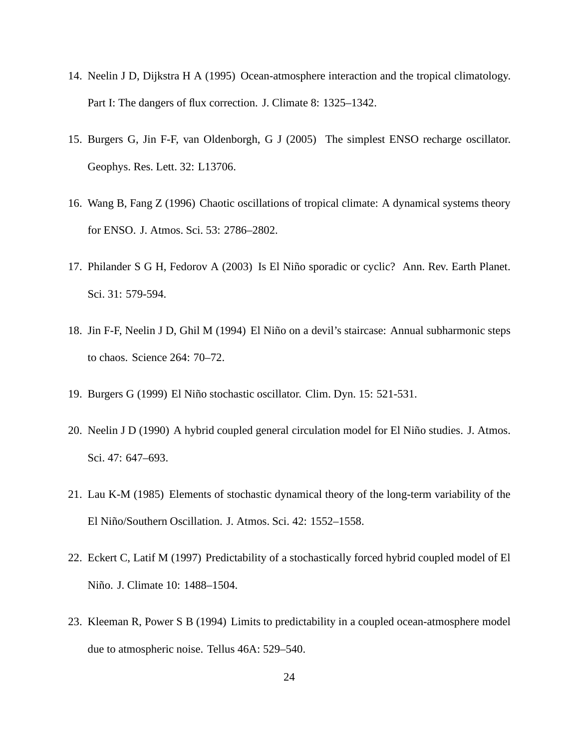- 14. Neelin J D, Dijkstra H A (1995) Ocean-atmosphere interaction and the tropical climatology. Part I: The dangers of flux correction. J. Climate 8: 1325–1342.
- 15. Burgers G, Jin F-F, van Oldenborgh, G J (2005) The simplest ENSO recharge oscillator. Geophys. Res. Lett. 32: L13706.
- 16. Wang B, Fang Z (1996) Chaotic oscillations of tropical climate: A dynamical systems theory for ENSO. J. Atmos. Sci. 53: 2786–2802.
- 17. Philander S G H, Fedorov A (2003) Is El Niño sporadic or cyclic? Ann. Rev. Earth Planet. Sci. 31: 579-594.
- 18. Jin F-F, Neelin J D, Ghil M (1994) El Niño on a devil's staircase: Annual subharmonic steps to chaos. Science 264: 70–72.
- 19. Burgers G (1999) El Niño stochastic oscillator. Clim. Dyn. 15: 521-531.
- 20. Neelin J D (1990) A hybrid coupled general circulation model for El Niño studies. J. Atmos. Sci. 47: 647–693.
- 21. Lau K-M (1985) Elements of stochastic dynamical theory of the long-term variability of the El Niño/Southern Oscillation. J. Atmos. Sci. 42: 1552–1558.
- 22. Eckert C, Latif M (1997) Predictability of a stochastically forced hybrid coupled model of El Niño. J. Climate 10: 1488-1504.
- 23. Kleeman R, Power S B (1994) Limits to predictability in a coupled ocean-atmosphere model due to atmospheric noise. Tellus 46A: 529–540.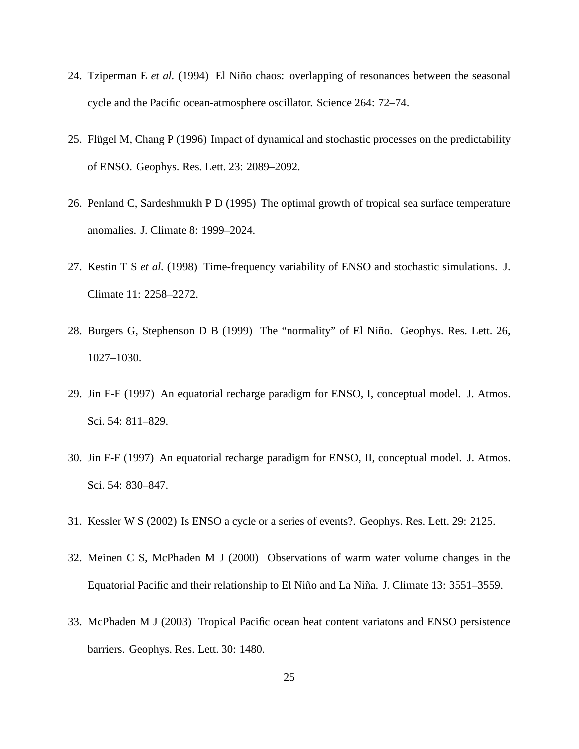- 24. Tziperman E *et al.* (1994) El Niño chaos: overlapping of resonances between the seasonal cycle and the Pacific ocean-atmosphere oscillator. Science 264: 72–74.
- 25. Flügel M, Chang P (1996) Impact of dynamical and stochastic processes on the predictability of ENSO. Geophys. Res. Lett. 23: 2089–2092.
- 26. Penland C, Sardeshmukh P D (1995) The optimal growth of tropical sea surface temperature anomalies. J. Climate 8: 1999–2024.
- 27. Kestin T S *et al.* (1998) Time-frequency variability of ENSO and stochastic simulations. J. Climate 11: 2258–2272.
- 28. Burgers G, Stephenson D B (1999) The "normality" of El Niño. Geophys. Res. Lett. 26, 1027–1030.
- 29. Jin F-F (1997) An equatorial recharge paradigm for ENSO, I, conceptual model. J. Atmos. Sci. 54: 811–829.
- 30. Jin F-F (1997) An equatorial recharge paradigm for ENSO, II, conceptual model. J. Atmos. Sci. 54: 830–847.
- 31. Kessler W S (2002) Is ENSO a cycle or a series of events?. Geophys. Res. Lett. 29: 2125.
- 32. Meinen C S, McPhaden M J (2000) Observations of warm water volume changes in the Equatorial Pacific and their relationship to El Niño and La Niña. J. Climate 13: 3551–3559.
- 33. McPhaden M J (2003) Tropical Pacific ocean heat content variatons and ENSO persistence barriers. Geophys. Res. Lett. 30: 1480.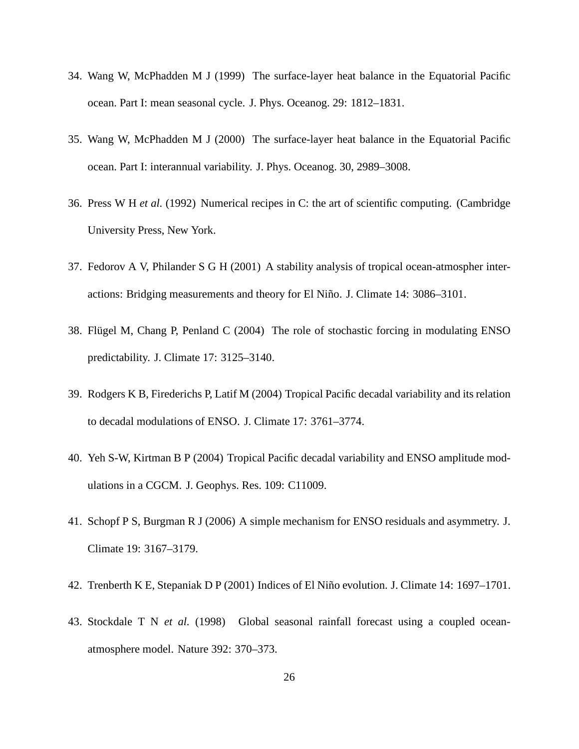- 34. Wang W, McPhadden M J (1999) The surface-layer heat balance in the Equatorial Pacific ocean. Part I: mean seasonal cycle. J. Phys. Oceanog. 29: 1812–1831.
- 35. Wang W, McPhadden M J (2000) The surface-layer heat balance in the Equatorial Pacific ocean. Part I: interannual variability. J. Phys. Oceanog. 30, 2989–3008.
- 36. Press W H *et al.* (1992) Numerical recipes in C: the art of scientific computing. (Cambridge University Press, New York.
- 37. Fedorov A V, Philander S G H (2001) A stability analysis of tropical ocean-atmospher interactions: Bridging measurements and theory for El Niño. J. Climate 14: 3086–3101.
- 38. Flügel M, Chang P, Penland C (2004) The role of stochastic forcing in modulating ENSO predictability. J. Climate 17: 3125–3140.
- 39. Rodgers K B, Firederichs P, Latif M (2004) Tropical Pacific decadal variability and its relation to decadal modulations of ENSO. J. Climate 17: 3761–3774.
- 40. Yeh S-W, Kirtman B P (2004) Tropical Pacific decadal variability and ENSO amplitude modulations in a CGCM. J. Geophys. Res. 109: C11009.
- 41. Schopf P S, Burgman R J (2006) A simple mechanism for ENSO residuals and asymmetry. J. Climate 19: 3167–3179.
- 42. Trenberth K E, Stepaniak D P (2001) Indices of El Niño evolution. J. Climate 14: 1697–1701.
- 43. Stockdale T N *et al.* (1998) Global seasonal rainfall forecast using a coupled oceanatmosphere model. Nature 392: 370–373.